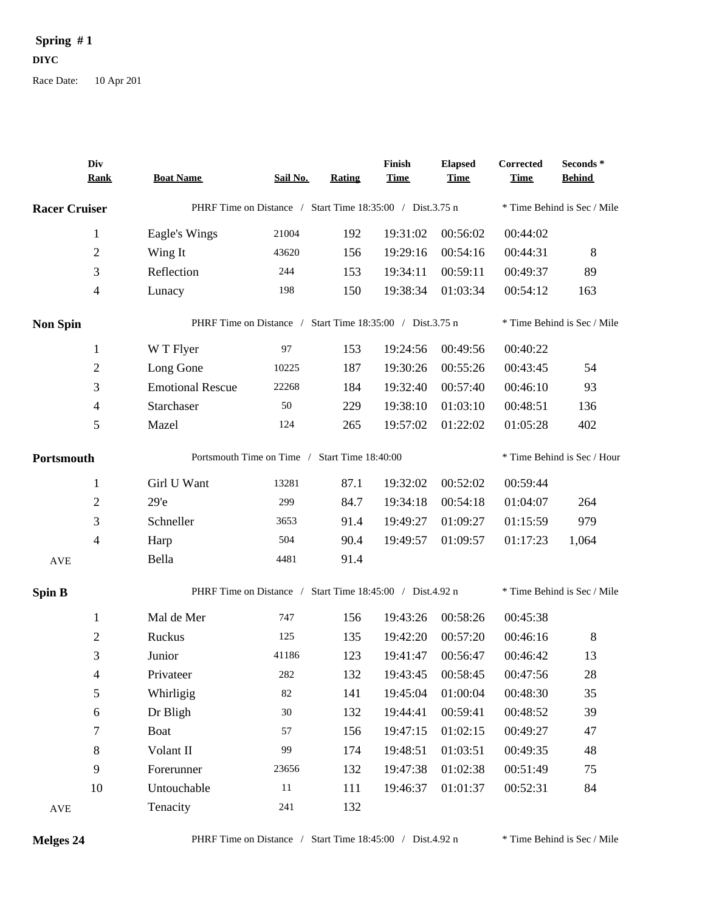## Spring  $#1$ **DIYC**

Race Date: 10 Apr 201

|                      | Div<br><b>Rank</b> | <b>Boat Name</b>                                          | <b>Sail No.</b>                                           | Rating | Finish<br><b>Time</b> | <b>Elapsed</b><br><b>Time</b> | Corrected<br><b>Time</b> | Seconds*<br><b>Behind</b>   |  |
|----------------------|--------------------|-----------------------------------------------------------|-----------------------------------------------------------|--------|-----------------------|-------------------------------|--------------------------|-----------------------------|--|
| <b>Racer Cruiser</b> |                    | PHRF Time on Distance / Start Time 18:35:00 / Dist.3.75 n |                                                           |        |                       |                               |                          | * Time Behind is Sec / Mile |  |
|                      | 1                  | Eagle's Wings                                             | 21004                                                     | 192    | 19:31:02              | 00:56:02                      | 00:44:02                 |                             |  |
|                      | $\mathbf{2}$       | Wing It                                                   | 43620                                                     | 156    | 19:29:16              | 00:54:16                      | 00:44:31                 | 8                           |  |
|                      | 3                  | Reflection                                                | 244                                                       | 153    | 19:34:11              | 00:59:11                      | 00:49:37                 | 89                          |  |
|                      | $\overline{4}$     | Lunacy                                                    | 198                                                       | 150    | 19:38:34              | 01:03:34                      | 00:54:12                 | 163                         |  |
| <b>Non Spin</b>      |                    | PHRF Time on Distance / Start Time 18:35:00 / Dist.3.75 n |                                                           |        |                       |                               |                          | * Time Behind is Sec / Mile |  |
|                      | $\mathbf{1}$       | W T Flyer                                                 | 97                                                        | 153    | 19:24:56              | 00:49:56                      | 00:40:22                 |                             |  |
|                      | $\overline{2}$     | Long Gone                                                 | 10225                                                     | 187    | 19:30:26              | 00:55:26                      | 00:43:45                 | 54                          |  |
|                      | 3                  | <b>Emotional Rescue</b>                                   | 22268                                                     | 184    | 19:32:40              | 00:57:40                      | 00:46:10                 | 93                          |  |
|                      | 4                  | Starchaser                                                | 50                                                        | 229    | 19:38:10              | 01:03:10                      | 00:48:51                 | 136                         |  |
|                      | 5                  | Mazel                                                     | 124                                                       | 265    | 19:57:02              | 01:22:02                      | 01:05:28                 | 402                         |  |
| Portsmouth           |                    | Portsmouth Time on Time / Start Time 18:40:00             |                                                           |        |                       |                               |                          | * Time Behind is Sec / Hour |  |
|                      | 1                  | Girl U Want                                               | 13281                                                     | 87.1   | 19:32:02              | 00:52:02                      | 00:59:44                 |                             |  |
|                      | $\overline{2}$     | 29 <sup>o</sup>                                           | 299                                                       | 84.7   | 19:34:18              | 00:54:18                      | 01:04:07                 | 264                         |  |
|                      | 3                  | Schneller                                                 | 3653                                                      | 91.4   | 19:49:27              | 01:09:27                      | 01:15:59                 | 979                         |  |
|                      | 4                  | Harp                                                      | 504                                                       | 90.4   | 19:49:57              | 01:09:57                      | 01:17:23                 | 1,064                       |  |
| <b>AVE</b>           |                    | Bella                                                     | 4481                                                      | 91.4   |                       |                               |                          |                             |  |
| <b>Spin B</b>        |                    |                                                           | PHRF Time on Distance / Start Time 18:45:00 / Dist.4.92 n |        |                       |                               |                          | * Time Behind is Sec / Mile |  |
|                      | $\mathbf{1}$       | Mal de Mer                                                | 747                                                       | 156    | 19:43:26              | 00:58:26                      | 00:45:38                 |                             |  |
|                      | 2                  | Ruckus                                                    | 125                                                       | 135    | 19:42:20              | 00:57:20                      | 00:46:16                 | 8                           |  |
|                      | 3                  | Junior                                                    | 41186                                                     | 123    | 19:41:47              | 00:56:47                      | 00:46:42                 | 13                          |  |
|                      | 4                  | Privateer                                                 | 282                                                       | 132    | 19:43:45              | 00:58:45                      | 00:47:56                 | 28                          |  |
|                      | 5                  | Whirligig                                                 | 82                                                        | 141    | 19:45:04              | 01:00:04                      | 00:48:30                 | 35                          |  |
|                      | $\sqrt{6}$         | Dr Bligh                                                  | $30\,$                                                    | 132    | 19:44:41              | 00:59:41                      | 00:48:52                 | 39                          |  |
|                      | 7                  | <b>Boat</b>                                               | 57                                                        | 156    | 19:47:15              | 01:02:15                      | 00:49:27                 | 47                          |  |
|                      | $8\,$              | Volant II                                                 | 99                                                        | 174    | 19:48:51              | 01:03:51                      | 00:49:35                 | 48                          |  |
|                      | 9                  | Forerunner                                                | 23656                                                     | 132    | 19:47:38              | 01:02:38                      | 00:51:49                 | 75                          |  |
|                      | 10                 | Untouchable                                               | 11                                                        | 111    | 19:46:37              | 01:01:37                      | 00:52:31                 | 84                          |  |
| <b>AVE</b>           |                    | Tenacity                                                  | 241                                                       | 132    |                       |                               |                          |                             |  |

Melges 24